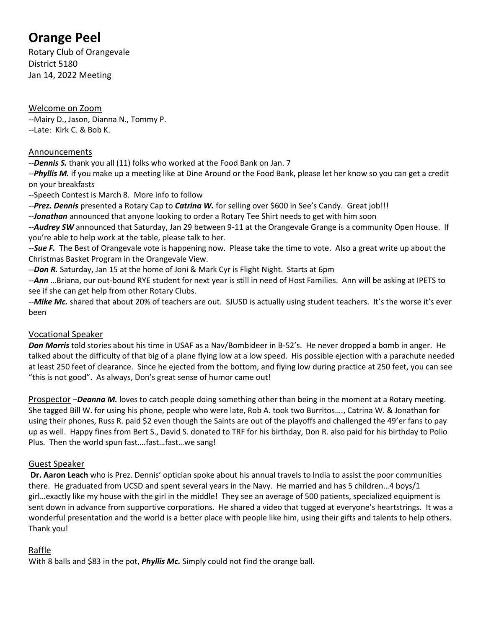# **Orange Peel**

Rotary Club of Orangevale District 5180 Jan 14, 2022 Meeting

Welcome on Zoom

--Mairy D., Jason, Dianna N., Tommy P. --Late: Kirk C. & Bob K.

#### Announcements

--*Dennis S.* thank you all (11) folks who worked at the Food Bank on Jan. 7

--*Phyllis M.* if you make up a meeting like at Dine Around or the Food Bank, please let her know so you can get a credit on your breakfasts

--Speech Contest is March 8. More info to follow

--*Prez. Dennis* presented a Rotary Cap to *Catrina W.* for selling over \$600 in See's Candy. Great job!!!

--*Jonathan* announced that anyone looking to order a Rotary Tee Shirt needs to get with him soon

--*Audrey SW* announced that Saturday, Jan 29 between 9-11 at the Orangevale Grange is a community Open House. If you're able to help work at the table, please talk to her.

--*Sue F.* The Best of Orangevale vote is happening now. Please take the time to vote. Also a great write up about the Christmas Basket Program in the Orangevale View.

--*Don R.* Saturday, Jan 15 at the home of Joni & Mark Cyr is Flight Night. Starts at 6pm

--*Ann* …Briana, our out-bound RYE student for next year is still in need of Host Families. Ann will be asking at IPETS to see if she can get help from other Rotary Clubs.

--*Mike Mc.* shared that about 20% of teachers are out. SJUSD is actually using student teachers. It's the worse it's ever been

## Vocational Speaker

*Don Morris* told stories about his time in USAF as a Nav/Bombideer in B-52's. He never dropped a bomb in anger. He talked about the difficulty of that big of a plane flying low at a low speed. His possible ejection with a parachute needed at least 250 feet of clearance. Since he ejected from the bottom, and flying low during practice at 250 feet, you can see "this is not good". As always, Don's great sense of humor came out!

Prospector –*Deanna M.* loves to catch people doing something other than being in the moment at a Rotary meeting. She tagged Bill W. for using his phone, people who were late, Rob A. took two Burritos…., Catrina W. & Jonathan for using their phones, Russ R. paid \$2 even though the Saints are out of the playoffs and challenged the 49'er fans to pay up as well. Happy fines from Bert S., David S. donated to TRF for his birthday, Don R. also paid for his birthday to Polio Plus. Then the world spun fast….fast…fast…we sang!

## Guest Speaker

**Dr. Aaron Leach** who is Prez. Dennis' optician spoke about his annual travels to India to assist the poor communities there. He graduated from UCSD and spent several years in the Navy. He married and has 5 children…4 boys/1 girl…exactly like my house with the girl in the middle! They see an average of 500 patients, specialized equipment is sent down in advance from supportive corporations. He shared a video that tugged at everyone's heartstrings. It was a wonderful presentation and the world is a better place with people like him, using their gifts and talents to help others. Thank you!

## Raffle

With 8 balls and \$83 in the pot, *Phyllis Mc.* Simply could not find the orange ball.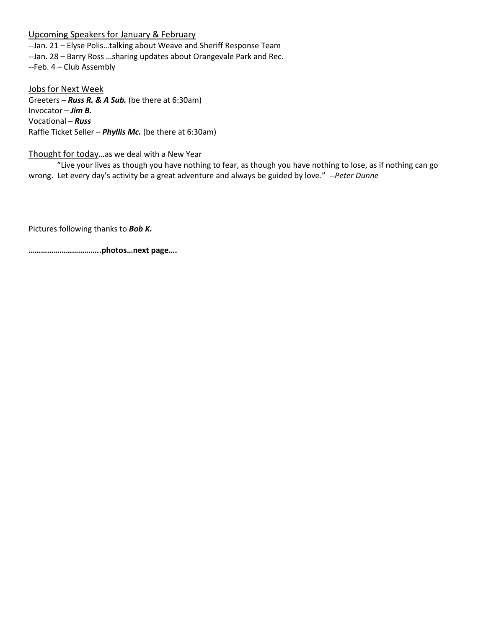#### Upcoming Speakers for January & February

--Jan. 21 – Elyse Polis…talking about Weave and Sheriff Response Team --Jan. 28 – Barry Ross …sharing updates about Orangevale Park and Rec. --Feb. 4 – Club Assembly

Jobs for Next Week Greeters – *Russ R. & A Sub.* (be there at 6:30am) Invocator – *Jim B.* Vocational – *Russ* Raffle Ticket Seller – *Phyllis Mc.* (be there at 6:30am)

#### Thought for today…as we deal with a New Year

"Live your lives as though you have nothing to fear, as though you have nothing to lose, as if nothing can go wrong. Let every day's activity be a great adventure and always be guided by love." *--Peter Dunne*

Pictures following thanks to *Bob K.*

**……………………………..photos…next page….**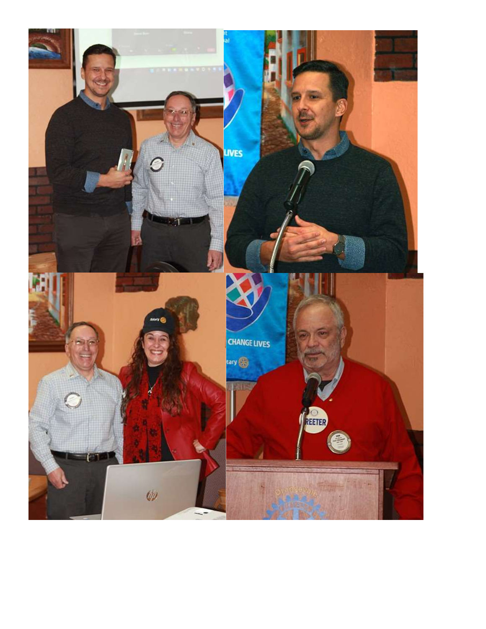